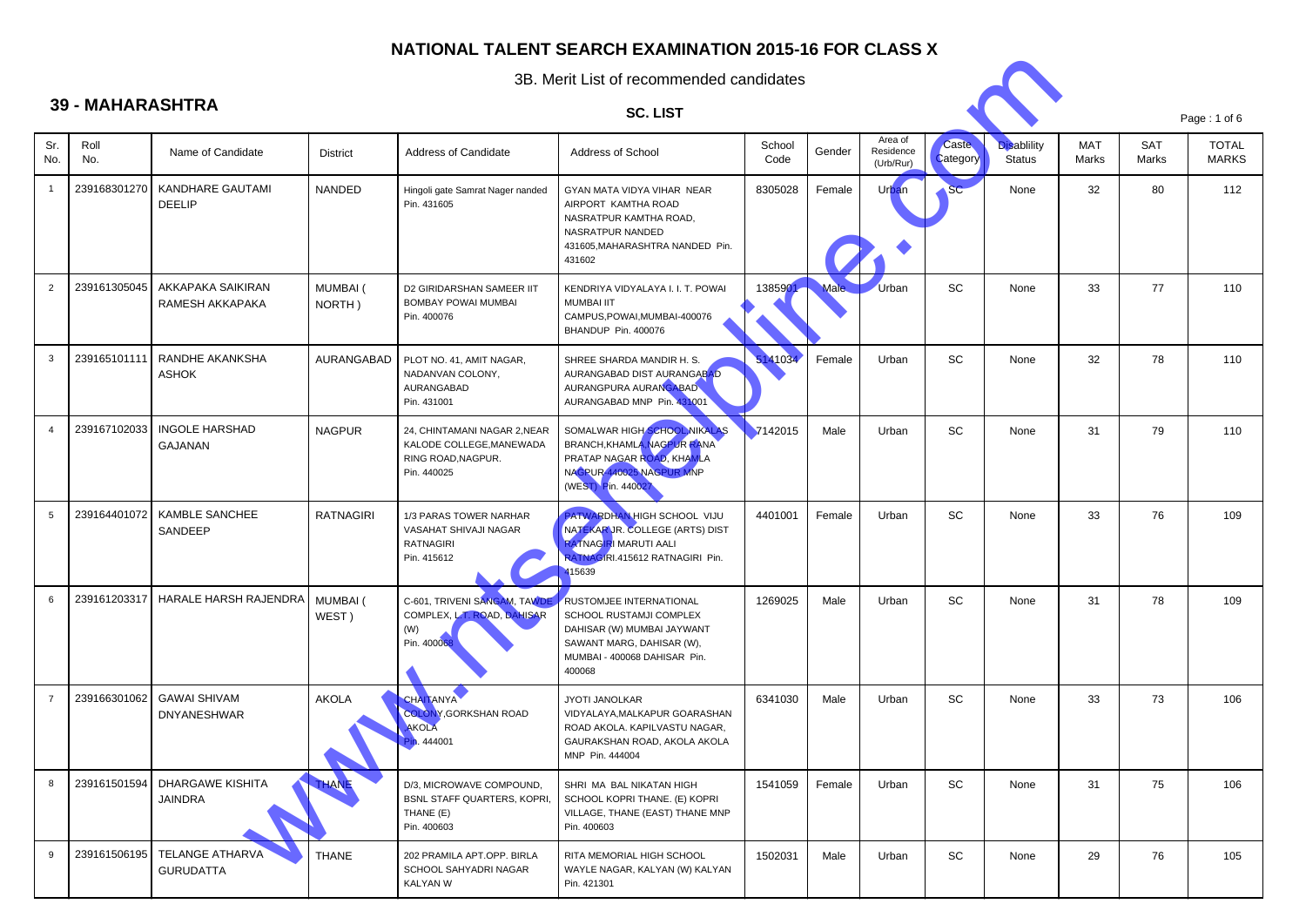

|                | 3B. Merit List of recommended candidates |                                            |                           |                                                                                               |                                                                                                                                                                |                |        |                                   |                          |                                     |              |                     |                              |
|----------------|------------------------------------------|--------------------------------------------|---------------------------|-----------------------------------------------------------------------------------------------|----------------------------------------------------------------------------------------------------------------------------------------------------------------|----------------|--------|-----------------------------------|--------------------------|-------------------------------------|--------------|---------------------|------------------------------|
|                | <b>39 - MAHARASHTRA</b>                  |                                            |                           |                                                                                               | <b>SC. LIST</b>                                                                                                                                                |                |        |                                   |                          |                                     |              |                     | Page: 1 of 6                 |
| Sr.<br>No.     | Roll<br>No.                              | Name of Candidate                          | <b>District</b>           | Address of Candidate                                                                          | Address of School                                                                                                                                              | School<br>Code | Gender | Area of<br>Residence<br>(Urb/Rur) | <b>Caste</b><br>Category | <b>Disablility</b><br><b>Status</b> | MAT<br>Marks | <b>SAT</b><br>Marks | <b>TOTAL</b><br><b>MARKS</b> |
|                | 239168301270                             | KANDHARE GAUTAMI<br><b>DEELIP</b>          | <b>NANDED</b>             | Hingoli gate Samrat Nager nanded<br>Pin. 431605                                               | GYAN MATA VIDYA VIHAR NEAR<br>AIRPORT KAMTHA ROAD<br>NASRATPUR KAMTHA ROAD,<br>NASRATPUR NANDED<br>431605, MAHARASHTRA NANDED Pin.<br>431602                   | 8305028        | Female | Urban                             | SC                       | None                                | 32           | 80                  | 112                          |
| $\overline{2}$ | 239161305045                             | AKKAPAKA SAIKIRAN<br>RAMESH AKKAPAKA       | <b>MUMBAI</b> (<br>NORTH) | D2 GIRIDARSHAN SAMEER IIT<br>BOMBAY POWAI MUMBAI<br>Pin. 400076                               | KENDRIYA VIDYALAYA I. I. T. POWAI<br><b>MUMBAI IIT</b><br>CAMPUS, POWAI, MUMBAI-400076<br>BHANDUP Pin. 400076                                                  | 1385901        | Male.  | Urban                             | SC                       | None                                | 33           | 77                  | 110                          |
| 3              | 239165101111                             | RANDHE AKANKSHA<br><b>ASHOK</b>            | AURANGABAD                | PLOT NO. 41, AMIT NAGAR,<br>NADANVAN COLONY,<br>AURANGABAD<br>Pin. 431001                     | SHREE SHARDA MANDIR H. S.<br>AURANGABAD DIST AURANGABAD<br>AURANGPURA AURANGABAD<br>AURANGABAD MNP Pin. 431001                                                 | 5141034        | Female | Urban                             | SC                       | None                                | 32           | 78                  | 110                          |
|                | 239167102033                             | <b>INGOLE HARSHAD</b><br><b>GAJANAN</b>    | <b>NAGPUR</b>             | 24, CHINTAMANI NAGAR 2, NEAR<br>KALODE COLLEGE, MANEWADA<br>RING ROAD, NAGPUR.<br>Pin. 440025 | SOMALWAR HIGH SCHOOL, NIKALAS<br>BRANCH, KHAMLA, NAGPUR RANA<br>PRATAP NAGAR ROAD, KHAMLA<br>NAGPUR-440025 NAGPUR MNP<br>(WEST) Pin. 440027                    | 7142015        | Male   | Urban                             | SC                       | None                                | 31           | 79                  | 110                          |
| 5              | 239164401072                             | <b>KAMBLE SANCHEE</b><br>SANDEEP           | <b>RATNAGIRI</b>          | 1/3 PARAS TOWER NARHAR<br>VASAHAT SHIVAJI NAGAR<br><b>RATNAGIRI</b><br>Pin. 415612            | PATWARDHAN HIGH SCHOOL VIJU<br>NATEKAR JR. COLLEGE (ARTS) DIST<br><b>RATNAGIRI MARUTI AALI</b><br>RATNAGIRI.415612 RATNAGIRI Pin.<br>115639                    | 4401001        | Female | Urban                             | SC                       | None                                | 33           | 76                  | 109                          |
| 6              | 239161203317                             | HARALE HARSH RAJENDRA                      | MUMBAI (<br>WEST)         | C-601, TRIVENI SANGAM, TAWDE<br>COMPLEX, L.T. ROAD, DAHISAR<br>(W)<br>Pin. 400068             | <b>RUSTOMJEE INTERNATIONAL</b><br>SCHOOL RUSTAMJI COMPLEX<br>DAHISAR (W) MUMBAI JAYWANT<br>SAWANT MARG, DAHISAR (W),<br>MUMBAI - 400068 DAHISAR Pin.<br>400068 | 1269025        | Male   | Urban                             | SC                       | None                                | 31           | 78                  | 109                          |
| $\overline{7}$ | 239166301062                             | <b>GAWAI SHIVAM</b><br><b>DNYANESHWAR</b>  | <b>AKOLA</b>              | <b>CHAITANYA</b><br><b>COLONY, GORKSHAN ROAD</b><br><b>AKOLA</b><br>444001                    | JYOTI JANOLKAR<br>VIDYALAYA, MALKAPUR GOARASHAN<br>ROAD AKOLA. KAPILVASTU NAGAR,<br>GAURAKSHAN ROAD, AKOLA AKOLA<br>MNP Pin. 444004                            | 6341030        | Male   | Urban                             | SC                       | None                                | 33           | 73                  | 106                          |
| 8              | 239161501594                             | DHARGAWE KISHITA<br>JAINDRA                | <b>HANE</b>               | D/3, MICROWAVE COMPOUND,<br><b>BSNL STAFF QUARTERS, KOPRI,</b><br>THANE (E)<br>Pin. 400603    | SHRI MA BAL NIKATAN HIGH<br>SCHOOL KOPRI THANE. (E) KOPRI<br>VILLAGE, THANE (EAST) THANE MNP<br>Pin. 400603                                                    | 1541059        | Female | Urban                             | SC                       | None                                | 31           | 75                  | 106                          |
| 9              | 239161506195                             | <b>TELANGE ATHARVA</b><br><b>GURUDATTA</b> | <b>THANE</b>              | 202 PRAMILA APT.OPP. BIRLA<br>SCHOOL SAHYADRI NAGAR<br>KALYAN W                               | RITA MEMORIAL HIGH SCHOOL<br>WAYLE NAGAR, KALYAN (W) KALYAN<br>Pin. 421301                                                                                     | 1502031        | Male   | Urban                             | SC                       | None                                | 29           | 76                  | 105                          |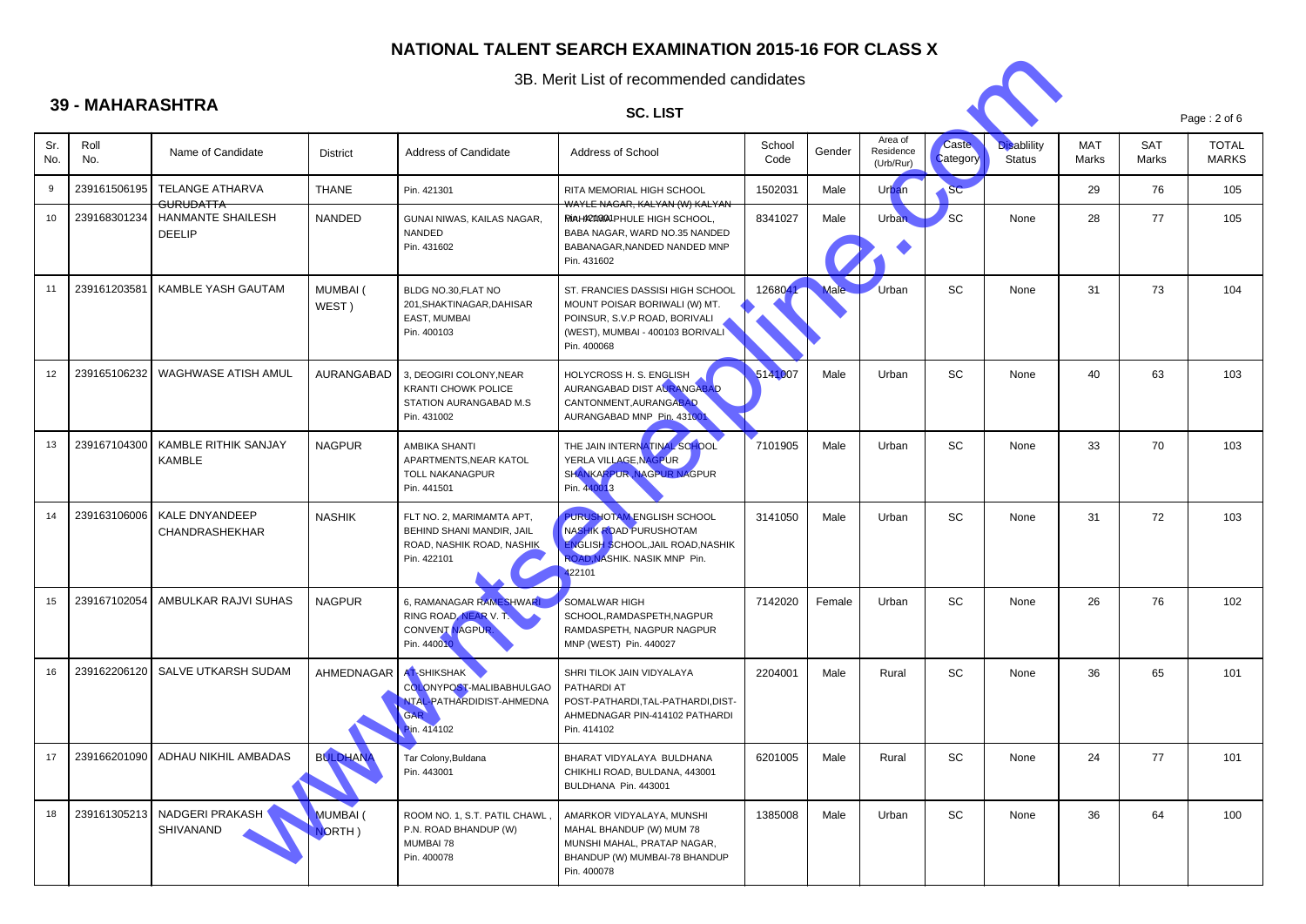

| Page: $2$ of $6$ |  |  |
|------------------|--|--|
|                  |  |  |

|            | 3B. Merit List of recommended candidates |                                           |                           |                                                                                                    |                                                                                                                                                       |                |        |                                   |                          |                                     |                     |              |                              |
|------------|------------------------------------------|-------------------------------------------|---------------------------|----------------------------------------------------------------------------------------------------|-------------------------------------------------------------------------------------------------------------------------------------------------------|----------------|--------|-----------------------------------|--------------------------|-------------------------------------|---------------------|--------------|------------------------------|
|            | <b>39 - MAHARASHTRA</b>                  |                                           |                           |                                                                                                    | <b>SC. LIST</b>                                                                                                                                       |                |        |                                   |                          |                                     |                     |              |                              |
| Sr.<br>No. | Roll<br>No.                              | Name of Candidate                         | <b>District</b>           | Address of Candidate                                                                               | Address of School                                                                                                                                     | School<br>Code | Gender | Area of<br>Residence<br>(Urb/Rur) | <b>Caste</b><br>Category | <b>Disablility</b><br><b>Status</b> | <b>MAT</b><br>Marks | SAT<br>Marks | <b>TOTAL</b><br><b>MARKS</b> |
| 9          | 239161506195                             | TELANGE ATHARVA<br><b>GURUDATTA</b>       | <b>THANE</b>              | Pin. 421301                                                                                        | <b>RITA MEMORIAL HIGH SCHOOL</b><br><del>WAYLE NAGAR, KALYAN (W) KALYAN</del>                                                                         | 1502031        | Male   | Urban                             | <b>SC</b>                |                                     | 29                  | 76           | 105                          |
| 10         | 239168301234                             | <b>HANMANTE SHAILESH</b><br><b>DEELIP</b> | <b>NANDED</b>             | GUNAI NIWAS, KAILAS NAGAR,<br>NANDED<br>Pin. 431602                                                | <b>RIAHRTRA1PHULE HIGH SCHOOL.</b><br>BABA NAGAR, WARD NO.35 NANDED<br>BABANAGAR, NANDED NANDED MNP<br>Pin. 431602                                    | 8341027        | Male   | <b>Urban</b>                      | 'SC                      | None                                | 28                  | 77           | 105                          |
| 11         | 239161203581                             | KAMBLE YASH GAUTAM                        | MUMBAI (<br>WEST)         | BLDG NO.30, FLAT NO<br>201, SHAKTINAGAR, DAHISAR<br>EAST, MUMBAI<br>Pin. 400103                    | ST. FRANCIES DASSISI HIGH SCHOOL<br>MOUNT POISAR BORIWALI (W) MT.<br>POINSUR, S.V.P ROAD, BORIVALI<br>(WEST), MUMBAI - 400103 BORIVALI<br>Pin. 400068 | 1268041        | Male.  | Urban                             | <b>SC</b>                | None                                | 31                  | 73           | 104                          |
| 12         | 239165106232                             | WAGHWASE ATISH AMUL                       | AURANGABAD                | 3, DEOGIRI COLONY, NEAR<br><b>KRANTI CHOWK POLICE</b><br>STATION AURANGABAD M.S.<br>Pin. 431002    | HOLYCROSS H. S. ENGLISH<br>AURANGABAD DIST AURANGABAD<br>CANTONMENT.AURANGABAD<br>AURANGABAD MNP Pin. 43100                                           | 5141007        | Male   | Urban                             | <b>SC</b>                | None                                | 40                  | 63           | 103                          |
| 13         | 239167104300                             | KAMBLE RITHIK SANJAY<br><b>KAMBLE</b>     | <b>NAGPUR</b>             | <b>AMBIKA SHANTI</b><br>APARTMENTS, NEAR KATOL<br><b>TOLL NAKANAGPUR</b><br>Pin. 441501            | THE JAIN INTERNATINAL SCHOOL<br>YERLA VILLAGE, NAGPUR<br>SHANKARPUR, NAGPUR NAGPUR<br>Pin. 440013                                                     | 7101905        | Male   | Urban                             | <b>SC</b>                | None                                | 33                  | 70           | 103                          |
| 14         | 239163106006                             | KALE DNYANDEEP<br>CHANDRASHEKHAR          | <b>NASHIK</b>             | FLT NO. 2, MARIMAMTA APT,<br>BEHIND SHANI MANDIR, JAIL<br>ROAD, NASHIK ROAD, NASHIK<br>Pin. 422101 | PURUSHOTAM ENGLISH SCHOOL<br>NASHIK ROAD PURUSHOTAM<br><b>ENGLISH SCHOOL, JAIL ROAD, NASHIK</b><br>ROAD, NASHIK. NASIK MNP Pin.<br>422101             | 3141050        | Male   | Urban                             | <b>SC</b>                | None                                | 31                  | 72           | 103                          |
| 15         | 239167102054                             | AMBULKAR RAJVI SUHAS                      | <b>NAGPUR</b>             | 6, RAMANAGAR RAMESHWARI<br>RING ROAD, NEAR V.T.<br><b>CONVENT NAGPUR</b><br>Pin. 440010            | <b>SOMALWAR HIGH</b><br>SCHOOL, RAMDASPETH, NAGPUR<br>RAMDASPETH, NAGPUR NAGPUR<br>MNP (WEST) Pin. 440027                                             | 7142020        | Female | Urban                             | SC                       | None                                | 26                  | 76           | 102                          |
| 16         | 239162206120                             | SALVE UTKARSH SUDAM                       | AHMEDNAGAR                | AT-SHIKSHAK<br>COLONYPOST-MALIBABHULGAO<br><b>NTAL-PATHARDIDIST-AHMEDNA</b><br>GAR<br>in. 414102   | SHRI TILOK JAIN VIDYALAYA<br><b>PATHARDI AT</b><br>POST-PATHARDI, TAL-PATHARDI, DIST-<br>AHMEDNAGAR PIN-414102 PATHARDI<br>Pin. 414102                | 2204001        | Male   | Rural                             | <b>SC</b>                | None                                | 36                  | 65           | 101                          |
| 17         |                                          | 239166201090 ADHAU NIKHIL AMBADAS         | <b>BULDHANA</b>           | Tar Colony, Buldana<br>Pin. 443001                                                                 | BHARAT VIDYALAYA BULDHANA<br>CHIKHLI ROAD, BULDANA, 443001<br>BULDHANA Pin. 443001                                                                    | 6201005        | Male   | Rural                             | SC                       | None                                | 24                  | 77           | 101                          |
| 18         | 239161305213                             | NADGERI PRAKASH<br>SHIVANAND              | <b>MUMBAI</b> (<br>NORTH) | ROOM NO. 1, S.T. PATIL CHAWL,<br>P.N. ROAD BHANDUP (W)<br>MUMBAI 78<br>Pin. 400078                 | AMARKOR VIDYALAYA, MUNSHI<br>MAHAL BHANDUP (W) MUM 78<br>MUNSHI MAHAL, PRATAP NAGAR,<br>BHANDUP (W) MUMBAI-78 BHANDUP<br>Pin. 400078                  | 1385008        | Male   | Urban                             | SC                       | None                                | 36                  | 64           | 100                          |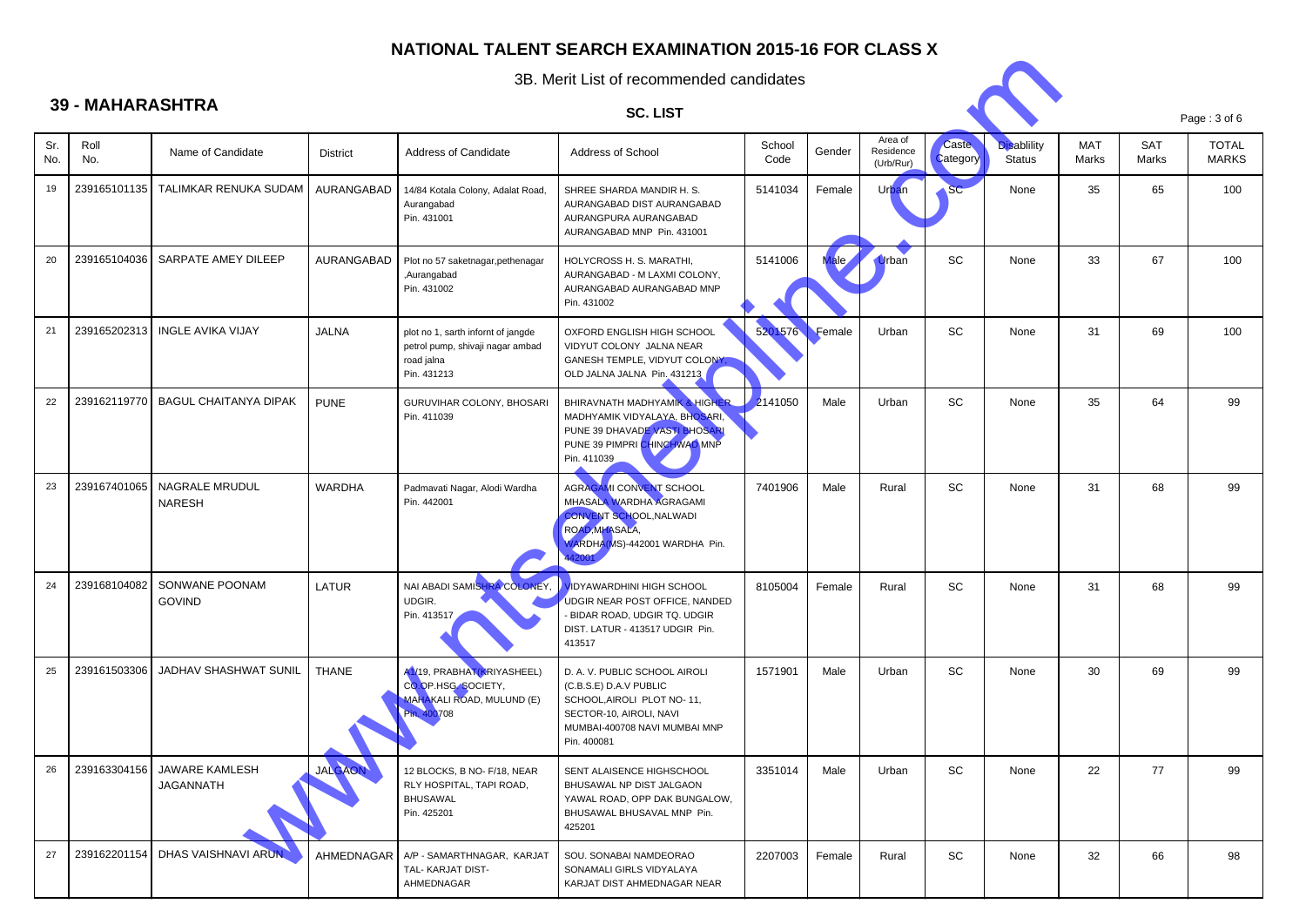

|            | 3B. Merit List of recommended candidates |                                        |                 |                                                                                                     |                                                                                                                                                                  |                |        |                                   |                          |                                     |                     |                     |                              |
|------------|------------------------------------------|----------------------------------------|-----------------|-----------------------------------------------------------------------------------------------------|------------------------------------------------------------------------------------------------------------------------------------------------------------------|----------------|--------|-----------------------------------|--------------------------|-------------------------------------|---------------------|---------------------|------------------------------|
|            | <b>39 - MAHARASHTRA</b>                  |                                        |                 |                                                                                                     | <b>SC. LIST</b>                                                                                                                                                  |                |        |                                   |                          |                                     |                     |                     | Page: 3 of 6                 |
| Sr.<br>No. | Roll<br>No.                              | Name of Candidate                      | <b>District</b> | Address of Candidate                                                                                | Address of School                                                                                                                                                | School<br>Code | Gender | Area of<br>Residence<br>(Urb/Rur) | <b>Caste</b><br>Category | <b>Disablility</b><br><b>Status</b> | <b>MAT</b><br>Marks | <b>SAT</b><br>Marks | <b>TOTAL</b><br><b>MARKS</b> |
| 19         | 239165101135                             | TALIMKAR RENUKA SUDAM                  | AURANGABAD      | 14/84 Kotala Colony, Adalat Road,<br>Aurangabad<br>Pin. 431001                                      | SHREE SHARDA MANDIR H. S.<br>AURANGABAD DIST AURANGABAD<br>AURANGPURA AURANGABAD<br>AURANGABAD MNP Pin. 431001                                                   | 5141034        | Female | Urban                             | <b>SC</b>                | None                                | 35                  | 65                  | 100                          |
| 20         | 239165104036                             | SARPATE AMEY DILEEP                    | AURANGABAD      | Plot no 57 saketnagar, pethenagar<br>,Aurangabad<br>Pin. 431002                                     | HOLYCROSS H. S. MARATHI,<br>AURANGABAD - M LAXMI COLONY,<br>AURANGABAD AURANGABAD MNP<br>Pin. 431002                                                             | 5141006        | ale.   | <b>Urban</b>                      | <b>SC</b>                | None                                | 33                  | 67                  | 100                          |
| 21         | 239165202313                             | <b>INGLE AVIKA VIJAY</b>               | <b>JALNA</b>    | plot no 1, sarth infornt of jangde<br>petrol pump, shivaji nagar ambad<br>road jalna<br>Pin. 431213 | OXFORD ENGLISH HIGH SCHOOL<br>VIDYUT COLONY JALNA NEAR<br>GANESH TEMPLE, VIDYUT COLONY,<br>OLD JALNA JALNA Pin. 431213                                           | 5201576        | Female | Urban                             | SC                       | None                                | 31                  | 69                  | 100                          |
| 22         | 239162119770                             | <b>BAGUL CHAITANYA DIPAK</b>           | <b>PUNE</b>     | GURUVIHAR COLONY, BHOSARI<br>Pin. 411039                                                            | BHIRAVNATH MADHYAMIK & HIGHER<br>MADHYAMIK VIDYALAYA, BHOSARI,<br>PUNE 39 DHAVADE VASTI BHOSARI<br>PUNE 39 PIMPRI CHINCHWAD MNP<br>Pin. 411039                   | 2141050        | Male   | Urban                             | SC                       | None                                | 35                  | 64                  | 99                           |
| 23         | 239167401065                             | <b>NAGRALE MRUDUL</b><br><b>NARESH</b> | WARDHA          | Padmavati Nagar, Alodi Wardha<br>Pin. 442001                                                        | AGRAGAMI CONVENT SCHOOL<br>MHASALA WARDHA AGRAGAMI<br><b>CONVENT SCHOOL, NALWADI</b><br>ROAD, MHASALA,<br>VARDHA(MS)-442001 WARDHA Pin.                          | 7401906        | Male   | Rural                             | SC                       | None                                | 31                  | 68                  | 99                           |
| 24         | 239168104082                             | SONWANE POONAM<br><b>GOVIND</b>        | LATUR           | NAI ABADI SAMISHRA COLONEY,<br>UDGIR.<br>Pin. 413517                                                | <b>IDYAWARDHINI HIGH SCHOOL</b><br>UDGIR NEAR POST OFFICE, NANDED<br>BIDAR ROAD, UDGIR TQ. UDGIR<br>DIST. LATUR - 413517 UDGIR Pin.<br>413517                    | 8105004        | Female | Rural                             | <b>SC</b>                | None                                | 31                  | 68                  | 99                           |
| 25         | 239161503306                             | JADHAV SHASHWAT SUNIL                  | <b>THANE</b>    | A1/19, PRABHAT(KRIYASHEEL)<br>CO.OP.HSG. SOCIETY,<br>MAHAKALI ROAD, MULUND (E)<br>Pin. 400708       | D. A. V. PUBLIC SCHOOL AIROLI<br>(C.B.S.E) D.A.V PUBLIC<br>SCHOOL, AIROLI PLOT NO-11,<br>SECTOR-10, AIROLI, NAVI<br>MUMBAI-400708 NAVI MUMBAI MNP<br>Pin. 400081 | 1571901        | Male   | Urban                             | SC                       | None                                | 30                  | 69                  | 99                           |
| 26         | 239163304156                             | JAWARE KAMLESH<br><b>JAGANNATH</b>     | JALGAON         | 12 BLOCKS, B NO- F/18, NEAR<br>RLY HOSPITAL. TAPI ROAD.<br><b>BHUSAWAL</b><br>Pin. 425201           | SENT ALAISENCE HIGHSCHOOL<br>BHUSAWAL NP DIST JALGAON<br>YAWAL ROAD, OPP DAK BUNGALOW.<br>BHUSAWAL BHUSAVAL MNP Pin.<br>425201                                   | 3351014        | Male   | Urban                             | SC                       | None                                | 22                  | 77                  | 99                           |
| 27         | 239162201154                             | DHAS VAISHNAVI ARUN                    | AHMEDNAGAR      | A/P - SAMARTHNAGAR, KARJAT<br>TAL- KARJAT DIST-<br>AHMEDNAGAR                                       | SOU. SONABAI NAMDEORAO<br>SONAMALI GIRLS VIDYALAYA<br>KARJAT DIST AHMEDNAGAR NEAR                                                                                | 2207003        | Female | Rural                             | SC                       | None                                | 32                  | 66                  | 98                           |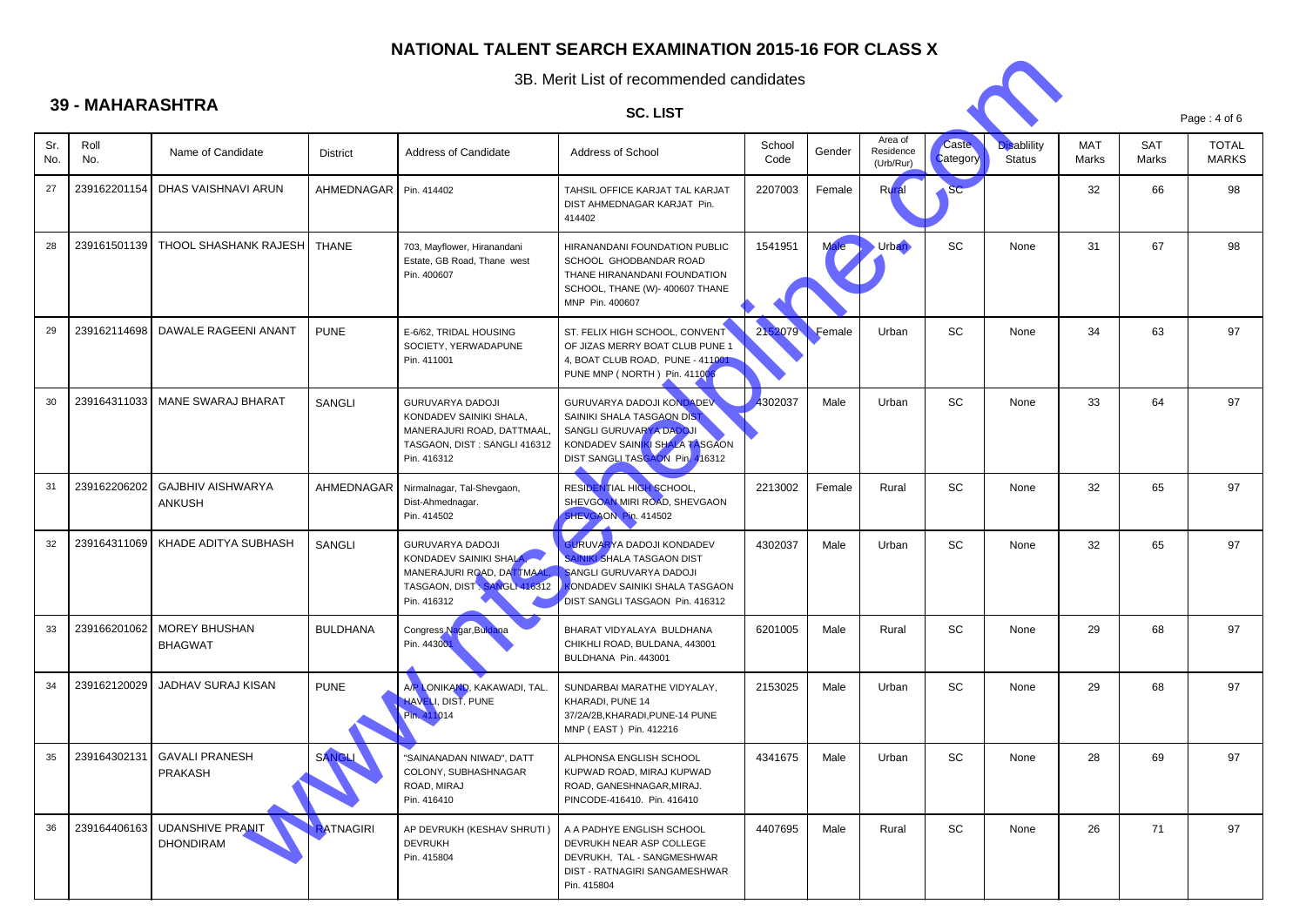

|            | 3B. Merit List of recommended candidates |                                                     |                 |                                                                                                                                  |                                                                                                                                                                                                                |                |        |                                   |                          |                              |                     |              |                       |
|------------|------------------------------------------|-----------------------------------------------------|-----------------|----------------------------------------------------------------------------------------------------------------------------------|----------------------------------------------------------------------------------------------------------------------------------------------------------------------------------------------------------------|----------------|--------|-----------------------------------|--------------------------|------------------------------|---------------------|--------------|-----------------------|
|            | <b>39 - MAHARASHTRA</b>                  |                                                     |                 |                                                                                                                                  | <b>SC. LIST</b>                                                                                                                                                                                                |                |        |                                   |                          |                              |                     |              | Page: 4 of 6          |
| Sr.<br>No. | Roll<br>No.                              | Name of Candidate                                   | <b>District</b> | Address of Candidate                                                                                                             | Address of School                                                                                                                                                                                              | School<br>Code | Gender | Area of<br>Residence<br>(Urb/Rur) | <b>Caste</b><br>Category | <b>Disablility</b><br>Status | <b>MAT</b><br>Marks | SAT<br>Marks | <b>TOTAL</b><br>MARKS |
| 27         | 239162201154                             | DHAS VAISHNAVI ARUN                                 | AHMEDNAGAR      | Pin. 414402                                                                                                                      | TAHSIL OFFICE KARJAT TAL KARJAT<br>DIST AHMEDNAGAR KARJAT Pin.<br>414402                                                                                                                                       | 2207003        | Female | Rura                              | SC                       |                              | 32                  | 66           | 98                    |
| 28         | 239161501139                             | THOOL SHASHANK RAJESH                               | <b>THANE</b>    | 703, Mayflower, Hiranandani<br>Estate, GB Road, Thane west<br>Pin. 400607                                                        | HIRANANDANI FOUNDATION PUBLIC<br>SCHOOL GHODBANDAR ROAD<br>THANE HIRANANDANI FOUNDATION<br>SCHOOL, THANE (W)- 400607 THANE<br>MNP Pin. 400607                                                                  | 1541951        |        | <b>Urban</b>                      | SC                       | None                         | 31                  | 67           | 98                    |
| 29         | 239162114698                             | DAWALE RAGEENI ANANT                                | <b>PUNE</b>     | E-6/62, TRIDAL HOUSING<br>SOCIETY, YERWADAPUNE<br>Pin. 411001                                                                    | ST. FELIX HIGH SCHOOL, CONVENT<br>OF JIZAS MERRY BOAT CLUB PUNE 1<br>4, BOAT CLUB ROAD, PUNE - 411001<br>PUNE MNP (NORTH) Pin. 411006                                                                          | 2152079        | Female | Urban                             | SC                       | None                         | 34                  | 63           | 97                    |
| 30         | 239164311033                             | <b>MANE SWARAJ BHARAT</b>                           | SANGLI          | <b>GURUVARYA DADOJI</b><br>KONDADEV SAINIKI SHALA,<br>MANERAJURI ROAD, DATTMAAL,<br>TASGAON, DIST : SANGLI 416312<br>Pin. 416312 | GURUVARYA DADOJI KONDADEV<br>SAINIKI SHALA TASGAON DI <mark>ST</mark><br>SANGLI GURUVARYA DADOJI<br>KONDADEV SAINKI SHALA TASGAON<br>DIST SANGLI TASGAON Pin. 416312                                           | 4302037        | Male   | Urban                             | SC                       | None                         | 33                  | 64           | 97                    |
| 31         | 239162206202                             | <b>GAJBHIV AISHWARYA</b><br><b>ANKUSH</b>           | AHMEDNAGAR      | Nirmalnagar, Tal-Shevgaon,<br>Dist-Ahmednagar.<br>Pin. 414502                                                                    | RESIDENTIAL HIGH SCHOOL,<br>SHEVGOAN MIRI ROAD, SHEVGAON<br>SHEVGAON Pin. 414502                                                                                                                               | 2213002        | Female | Rural                             | SC                       | None                         | 32                  | 65           | 97                    |
| 32         | 239164311069                             | KHADE ADITYA SUBHASH                                | SANGLI          | <b>GURUVARYA DADOJI</b><br>KONDADEV SAINIKI SHALA,<br>MANERAJURI ROAD, DATTMAAL,<br>TASGAON, DIST : SANGLI 416312<br>Pin. 416312 | <b>GURUVARYA DADOJI KONDADEV</b><br><b>SAINIKI SHALA TASGAON DIST</b><br><b>SANGLI GURUVARYA DADOJI</b><br><b><ondadev b="" sainiki="" shala="" tasgaon<=""><br/>DIST SANGLI TASGAON Pin. 416312</ondadev></b> | 4302037        | Male   | Urban                             | <b>SC</b>                | None                         | 32                  | 65           | 97                    |
| 33         | 239166201062                             | <b>MOREY BHUSHAN</b><br><b>BHAGWAT</b>              | <b>BULDHANA</b> | Congress Nagar, Buldana<br>Pin. 443001                                                                                           | BHARAT VIDYALAYA BULDHANA<br>CHIKHLI ROAD, BULDANA, 443001<br>BULDHANA Pin. 443001                                                                                                                             | 6201005        | Male   | Rural                             | SC                       | None                         | 29                  | 68           | 97                    |
| 34         | 239162120029                             | JADHAV SURAJ KISAN                                  | <b>PUNE</b>     | A/P LONIKAND, KAKAWADI, TAL.<br>HAVELI, DIST. PUNE<br>Pin. 411014                                                                | SUNDARBAI MARATHE VIDYALAY,<br>KHARADI, PUNE 14<br>37/2A/2B, KHARADI, PUNE-14 PUNE<br>MNP (EAST) Pin. 412216                                                                                                   | 2153025        | Male   | Urban                             | <b>SC</b>                | None                         | 29                  | 68           | 97                    |
| 35         |                                          | 239164302131   GAVALI PRANESH<br>PRAKASH            | SANGLI          | "SAINANADAN NIWAD", DATT<br>COLONY, SUBHASHNAGAR<br>ROAD, MIRAJ<br>Pin. 416410                                                   | ALPHONSA ENGLISH SCHOOL<br>KUPWAD ROAD, MIRAJ KUPWAD<br>ROAD, GANESHNAGAR, MIRAJ.<br>PINCODE-416410. Pin. 416410                                                                                               | 4341675        | Male   | Urban                             | SC                       | None                         | 28                  | 69           | 97                    |
| 36         |                                          | 239164406163   UDANSHIVE PRANIT<br><b>DHONDIRAM</b> | RATNAGIRI       | AP DEVRUKH (KESHAV SHRUTI)<br><b>DEVRUKH</b><br>Pin. 415804                                                                      | A A PADHYE ENGLISH SCHOOL<br>DEVRUKH NEAR ASP COLLEGE<br>DEVRUKH, TAL - SANGMESHWAR<br>DIST - RATNAGIRI SANGAMESHWAR<br>Pin. 415804                                                                            | 4407695        | Male   | Rural                             | SC                       | None                         | 26                  | 71           | 97                    |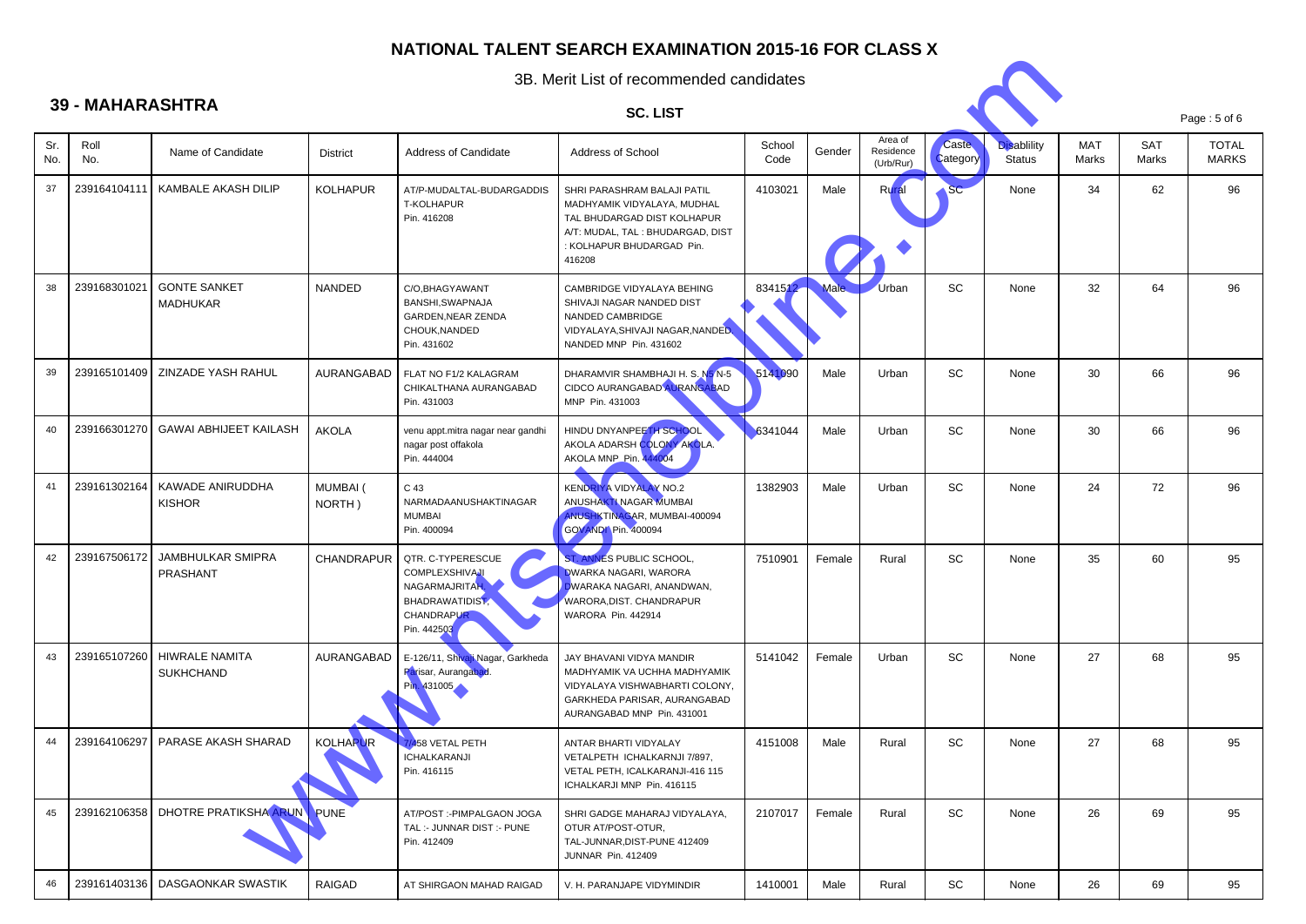# **39 - MAHARASHTRA**

Sr. No.

37

38

39

40

41

42

43

44

45

46

6 | 239161403136 | DASGAONKAR SWASTIK



|               |                                           |                           |                                                                                                                            | 3B. Merit List of recommended candidates                                                                                                                              |                |             |                                   |                          |                                     |              |                     |                              |  |
|---------------|-------------------------------------------|---------------------------|----------------------------------------------------------------------------------------------------------------------------|-----------------------------------------------------------------------------------------------------------------------------------------------------------------------|----------------|-------------|-----------------------------------|--------------------------|-------------------------------------|--------------|---------------------|------------------------------|--|
| - MAHARASHTRA |                                           |                           | <b>SC. LIST</b>                                                                                                            |                                                                                                                                                                       |                |             |                                   |                          | Page: 5 of 6                        |              |                     |                              |  |
| Roll<br>No.   | Name of Candidate                         | <b>District</b>           | Address of Candidate                                                                                                       | Address of School                                                                                                                                                     | School<br>Code | Gender      | Area of<br>Residence<br>(Urb/Rur) | <b>Caste</b><br>Category | <b>Disablility</b><br><b>Status</b> | MAT<br>Marks | <b>SAT</b><br>Marks | <b>TOTAL</b><br><b>MARKS</b> |  |
| 239164104111  | KAMBALE AKASH DILIP                       | <b>KOLHAPUR</b>           | AT/P-MUDALTAL-BUDARGADDIS<br>T-KOLHAPUR<br>Pin. 416208                                                                     | SHRI PARASHRAM BALAJI PATIL<br>MADHYAMIK VIDYALAYA, MUDHAL<br>TAL BHUDARGAD DIST KOLHAPUR<br>A/T: MUDAL, TAL : BHUDARGAD, DIST<br>: KOLHAPUR BHUDARGAD Pin.<br>416208 | 4103021        | Male        | Rura                              | SC                       | None                                | 34           | 62                  | 96                           |  |
| 239168301021  | <b>GONTE SANKET</b><br><b>MADHUKAR</b>    | NANDED                    | C/O, BHAGYAWANT<br>BANSHI, SWAPNAJA<br>GARDEN, NEAR ZENDA<br>CHOUK, NANDED<br>Pin. 431602                                  | CAMBRIDGE VIDYALAYA BEHING<br>SHIVAJI NAGAR NANDED DIST<br>NANDED CAMBRIDGE<br>VIDYALAYA, SHIVAJI NAGAR, NANDED.<br>NANDED MNP Pin. 431602                            | 8341512        | <b>Male</b> | Urban                             | <b>SC</b>                | None                                | 32           | 64                  | 96                           |  |
| 239165101409  | ZINZADE YASH RAHUL                        | AURANGABAD                | FLAT NO F1/2 KALAGRAM<br>CHIKALTHANA AURANGABAD<br>Pin. 431003                                                             | DHARAMVIR SHAMBHAJI H. S. N5 N-5<br>CIDCO AURANGABAD AURANGABAD<br>MNP Pin. 431003                                                                                    | 5141090        | Male        | Urban                             | SC                       | None                                | 30           | 66                  | 96                           |  |
| 239166301270  | <b>GAWAI ABHIJEET KAILASH</b>             | <b>AKOLA</b>              | venu appt.mitra nagar near gandhi<br>nagar post offakola<br>Pin. 444004                                                    | HINDU DNYANPEETH SCHOOL<br>AKOLA ADARSH COLONY AKOLA.<br>AKOLA MNP_Pin. 444004                                                                                        | 6341044        | Male        | Urban                             | SC                       | None                                | 30           | 66                  | 96                           |  |
| 239161302164  | KAWADE ANIRUDDHA<br><b>KISHOR</b>         | <b>MUMBAI</b> (<br>NORTH) | C 43<br>NARMADAANUSHAKTINAGAR<br><b>MUMBAI</b><br>Pin. 400094                                                              | <b>KENDRIYA VIDYALAY NO.2</b><br>ANUSHAKTI NAGAR MUMBAI<br>ANUSHKTINAGAR, MUMBAI-400094<br>GOVANDI Pin. 400094                                                        | 1382903        | Male        | Urban                             | SC                       | None                                | 24           | 72                  | 96                           |  |
| 239167506172  | JAMBHULKAR SMIPRA<br>PRASHANT             | <b>CHANDRAPUR</b>         | QTR. C-TYPERESCUE<br><b>COMPLEXSHIVAJI</b><br>NAGARMAJRITAH.<br><b>BHADRAWATIDIST,</b><br><b>CHANDRAPUR</b><br>Pin. 442503 | ST. ANNES PUBLIC SCHOOL,<br><b>DWARKA NAGARI, WARORA</b><br>DWARAKA NAGARI, ANANDWAN,<br>WARORA, DIST. CHANDRAPUR<br>WARORA Pin. 442914                               | 7510901        | Female      | Rural                             | <b>SC</b>                | None                                | 35           | 60                  | 95                           |  |
| 239165107260  | <b>HIWRALE NAMITA</b><br><b>SUKHCHAND</b> | AURANGABAD                | E-126/11, Shivaji Nagar, Garkheda<br>Parisar, Aurangabad<br>Pin. 431005                                                    | JAY BHAVANI VIDYA MANDIR<br>MADHYAMIK VA UCHHA MADHYAMIK<br>VIDYALAYA VISHWABHARTI COLONY,<br>GARKHEDA PARISAR, AURANGABAD<br>AURANGABAD MNP Pin. 431001              | 5141042        | Female      | Urban                             | SC                       | None                                | 27           | 68                  | 95                           |  |
| 239164106297  | PARASE AKASH SHARAD                       | <b>KOLHAPUR</b>           | 7/458 VETAL PETH<br><b>ICHALKARANJI</b><br>Pin. 416115                                                                     | ANTAR BHARTI VIDYALAY<br>VETALPETH ICHALKARNJI 7/897,<br>VETAL PETH. ICALKARANJI-416 115<br>ICHALKARJI MNP Pin. 416115                                                | 4151008        | Male        | Rural                             | <b>SC</b>                | None                                | 27           | 68                  | 95                           |  |
| 239162106358  | <b>DHOTRE PRATIKSHA ARUN</b>              | <b>PUNE</b>               | AT/POST :- PIMPALGAON JOGA<br>TAL: - JUNNAR DIST: - PUNE<br>Pin. 412409                                                    | SHRI GADGE MAHARAJ VIDYALAYA,<br>OTUR AT/POST-OTUR,<br>TAL-JUNNAR, DIST-PUNE 412409<br>JUNNAR Pin. 412409                                                             | 2107017        | Female      | Rural                             | SC                       | None                                | 26           | 69                  | 95                           |  |
|               |                                           |                           |                                                                                                                            |                                                                                                                                                                       |                |             |                                   |                          |                                     |              |                     |                              |  |

AT SHIRGAON MAHAD RAIGAD | V. H. PARANJAPE VIDYMINDIR | 1410001 | Male | Rural | SC | None | 26 | 69 | 95

RAIGAD